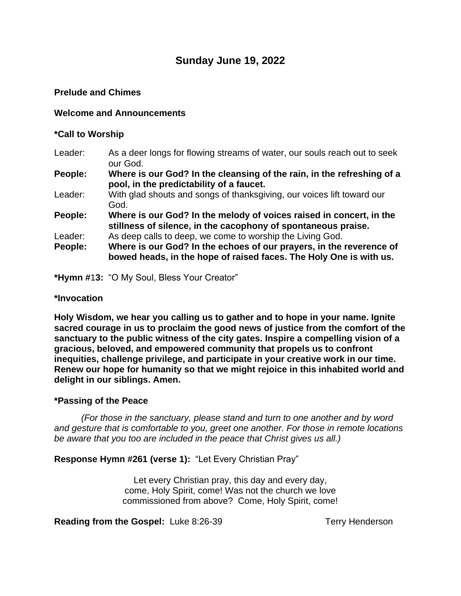# **Sunday June 19, 2022**

### **Prelude and Chimes**

### **Welcome and Announcements**

#### **\*Call to Worship**

Leader: As a deer longs for flowing streams of water, our souls reach out to seek our God.

**People: Where is our God? In the cleansing of the rain, in the refreshing of a pool, in the predictability of a faucet.**

- Leader: With glad shouts and songs of thanksgiving, our voices lift toward our God.
- **People: Where is our God? In the melody of voices raised in concert, in the stillness of silence, in the cacophony of spontaneous praise.**
- Leader: As deep calls to deep, we come to worship the Living God. **People: Where is our God? In the echoes of our prayers, in the reverence of bowed heads, in the hope of raised faces. The Holy One is with us.**

**\*Hymn #**1**3:** "O My Soul, Bless Your Creator"

#### **\*Invocation**

**Holy Wisdom, we hear you calling us to gather and to hope in your name. Ignite sacred courage in us to proclaim the good news of justice from the comfort of the sanctuary to the public witness of the city gates. Inspire a compelling vision of a gracious, beloved, and empowered community that propels us to confront inequities, challenge privilege, and participate in your creative work in our time. Renew our hope for humanity so that we might rejoice in this inhabited world and delight in our siblings. Amen.**

### **\*Passing of the Peace**

*(For those in the sanctuary, please stand and turn to one another and by word and gesture that is comfortable to you, greet one another. For those in remote locations be aware that you too are included in the peace that Christ gives us all.)*

**Response Hymn #261 (verse 1):** "Let Every Christian Pray"

Let every Christian pray, this day and every day, come, Holy Spirit, come! Was not the church we love commissioned from above? Come, Holy Spirit, come!

**Reading from the Gospel:** Luke 8:26-39 Terry Henderson